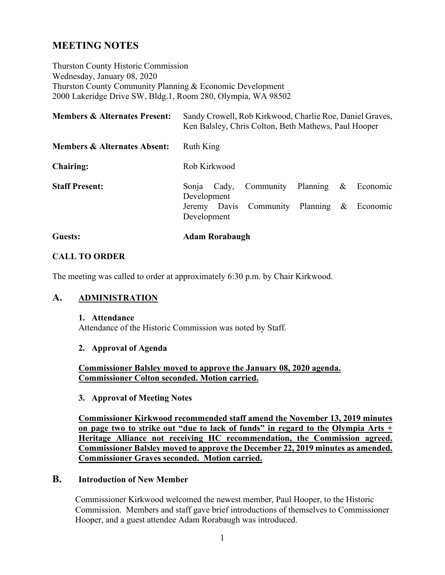# **MEETING NOTES**

Thurston County Historic Commission Wednesday, January 08, 2020 Thurston County Community Planning & Economic Development 2000 Lakeridge Drive SW, Bldg.1, Room 280, Olympia, WA 98502

| <b>Members &amp; Alternates Present:</b> | Sandy Crowell, Rob Kirkwood, Charlie Roe, Daniel Graves,<br>Ken Balsley, Chris Colton, Beth Mathews, Paul Hooper |
|------------------------------------------|------------------------------------------------------------------------------------------------------------------|
| <b>Members &amp; Alternates Absent:</b>  | Ruth King                                                                                                        |
| <b>Chairing:</b>                         | Rob Kirkwood                                                                                                     |
| <b>Staff Present:</b>                    | Community Planning<br>$\&$<br>Economic<br>Sonja<br>Cady,<br>Development                                          |
|                                          | Planning $\&$<br>Community<br>Economic<br>Jeremy Davis<br>Development                                            |
| Guests:                                  | <b>Adam Rorabaugh</b>                                                                                            |

### **CALL TO ORDER**

The meeting was called to order at approximately 6:30 p.m. by Chair Kirkwood.

### **A. ADMINISTRATION**

#### **1. Attendance**

Attendance of the Historic Commission was noted by Staff.

#### **2. Approval of Agenda**

**Commissioner Balsley moved to approve the January 08, 2020 agenda. Commissioner Colton seconded. Motion carried.**

**3. Approval of Meeting Notes**

**Commissioner Kirkwood recommended staff amend the November 13, 2019 minutes on page two to strike out "due to lack of funds" in regard to the Olympia Arts + Heritage Alliance not receiving HC recommendation, the Commission agreed. Commissioner Balsley moved to approve the December 22, 2019 minutes as amended. Commissioner Graves seconded. Motion carried.**

#### **B. Introduction of New Member**

Commissioner Kirkwood welcomed the newest member, Paul Hooper, to the Historic Commission. Members and staff gave brief introductions of themselves to Commissioner Hooper, and a guest attendee Adam Rorabaugh was introduced.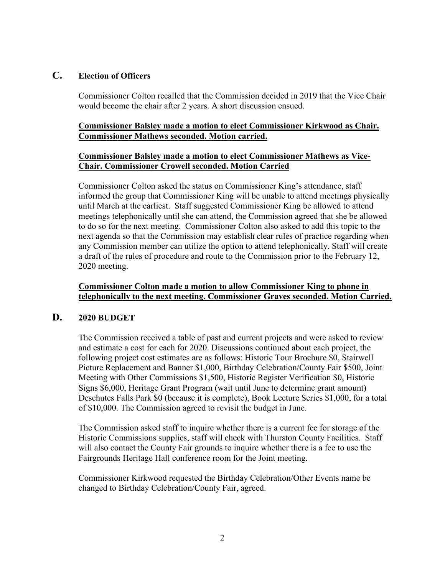## **C. Election of Officers**

Commissioner Colton recalled that the Commission decided in 2019 that the Vice Chair would become the chair after 2 years. A short discussion ensued.

#### **Commissioner Balsley made a motion to elect Commissioner Kirkwood as Chair. Commissioner Mathews seconded. Motion carried.**

#### **Commissioner Balsley made a motion to elect Commissioner Mathews as Vice-Chair. Commissioner Crowell seconded. Motion Carried**

Commissioner Colton asked the status on Commissioner King's attendance, staff informed the group that Commissioner King will be unable to attend meetings physically until March at the earliest. Staff suggested Commissioner King be allowed to attend meetings telephonically until she can attend, the Commission agreed that she be allowed to do so for the next meeting. Commissioner Colton also asked to add this topic to the next agenda so that the Commission may establish clear rules of practice regarding when any Commission member can utilize the option to attend telephonically. Staff will create a draft of the rules of procedure and route to the Commission prior to the February 12, 2020 meeting.

#### **Commissioner Colton made a motion to allow Commissioner King to phone in telephonically to the next meeting. Commissioner Graves seconded. Motion Carried.**

### **D. 2020 BUDGET**

The Commission received a table of past and current projects and were asked to review and estimate a cost for each for 2020. Discussions continued about each project, the following project cost estimates are as follows: Historic Tour Brochure \$0, Stairwell Picture Replacement and Banner \$1,000, Birthday Celebration/County Fair \$500, Joint Meeting with Other Commissions \$1,500, Historic Register Verification \$0, Historic Signs \$6,000, Heritage Grant Program (wait until June to determine grant amount) Deschutes Falls Park \$0 (because it is complete), Book Lecture Series \$1,000, for a total of \$10,000. The Commission agreed to revisit the budget in June.

The Commission asked staff to inquire whether there is a current fee for storage of the Historic Commissions supplies, staff will check with Thurston County Facilities. Staff will also contact the County Fair grounds to inquire whether there is a fee to use the Fairgrounds Heritage Hall conference room for the Joint meeting.

Commissioner Kirkwood requested the Birthday Celebration/Other Events name be changed to Birthday Celebration/County Fair, agreed.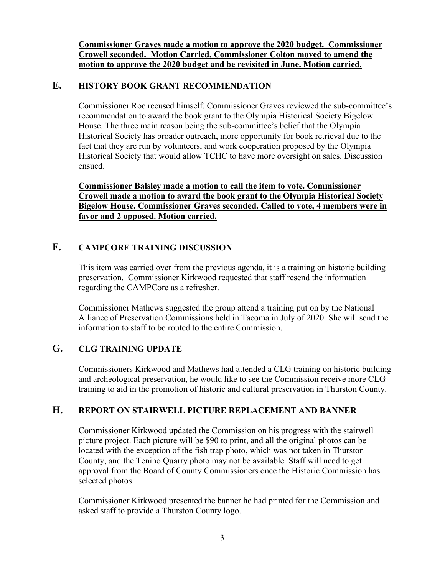**Commissioner Graves made a motion to approve the 2020 budget. Commissioner Crowell seconded. Motion Carried. Commissioner Colton moved to amend the motion to approve the 2020 budget and be revisited in June. Motion carried.**

### **E. HISTORY BOOK GRANT RECOMMENDATION**

Commissioner Roe recused himself. Commissioner Graves reviewed the sub-committee's recommendation to award the book grant to the Olympia Historical Society Bigelow House. The three main reason being the sub-committee's belief that the Olympia Historical Society has broader outreach, more opportunity for book retrieval due to the fact that they are run by volunteers, and work cooperation proposed by the Olympia Historical Society that would allow TCHC to have more oversight on sales. Discussion ensued.

**Commissioner Balsley made a motion to call the item to vote. Commissioner Crowell made a motion to award the book grant to the Olympia Historical Society Bigelow House. Commissioner Graves seconded. Called to vote, 4 members were in favor and 2 opposed. Motion carried.**

# **F. CAMPCORE TRAINING DISCUSSION**

This item was carried over from the previous agenda, it is a training on historic building preservation. Commissioner Kirkwood requested that staff resend the information regarding the CAMPCore as a refresher.

Commissioner Mathews suggested the group attend a training put on by the National Alliance of Preservation Commissions held in Tacoma in July of 2020. She will send the information to staff to be routed to the entire Commission.

### **G. CLG TRAINING UPDATE**

Commissioners Kirkwood and Mathews had attended a CLG training on historic building and archeological preservation, he would like to see the Commission receive more CLG training to aid in the promotion of historic and cultural preservation in Thurston County.

### **H. REPORT ON STAIRWELL PICTURE REPLACEMENT AND BANNER**

Commissioner Kirkwood updated the Commission on his progress with the stairwell picture project. Each picture will be \$90 to print, and all the original photos can be located with the exception of the fish trap photo, which was not taken in Thurston County, and the Tenino Quarry photo may not be available. Staff will need to get approval from the Board of County Commissioners once the Historic Commission has selected photos.

Commissioner Kirkwood presented the banner he had printed for the Commission and asked staff to provide a Thurston County logo.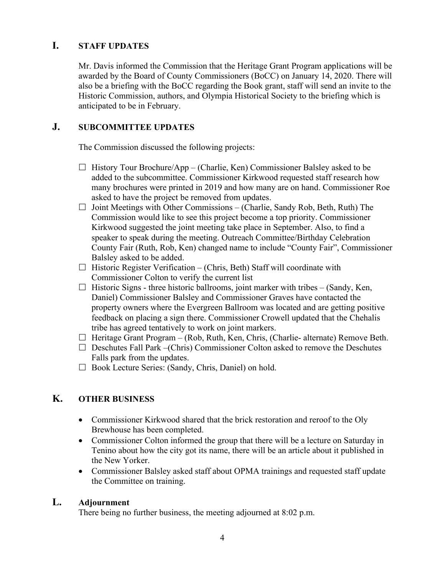# **I. STAFF UPDATES**

Mr. Davis informed the Commission that the Heritage Grant Program applications will be awarded by the Board of County Commissioners (BoCC) on January 14, 2020. There will also be a briefing with the BoCC regarding the Book grant, staff will send an invite to the Historic Commission, authors, and Olympia Historical Society to the briefing which is anticipated to be in February.

# **J. SUBCOMMITTEE UPDATES**

The Commission discussed the following projects:

- $\Box$  History Tour Brochure/App (Charlie, Ken) Commissioner Balsley asked to be added to the subcommittee. Commissioner Kirkwood requested staff research how many brochures were printed in 2019 and how many are on hand. Commissioner Roe asked to have the project be removed from updates.
- $\Box$  Joint Meetings with Other Commissions (Charlie, Sandy Rob, Beth, Ruth) The Commission would like to see this project become a top priority. Commissioner Kirkwood suggested the joint meeting take place in September. Also, to find a speaker to speak during the meeting. Outreach Committee/Birthday Celebration County Fair (Ruth, Rob, Ken) changed name to include "County Fair", Commissioner Balsley asked to be added.
- $\Box$  Historic Register Verification (Chris, Beth) Staff will coordinate with Commissioner Colton to verify the current list
- $\Box$  Historic Signs three historic ballrooms, joint marker with tribes (Sandy, Ken, Daniel) Commissioner Balsley and Commissioner Graves have contacted the property owners where the Evergreen Ballroom was located and are getting positive feedback on placing a sign there. Commissioner Crowell updated that the Chehalis tribe has agreed tentatively to work on joint markers.
- $\Box$  Heritage Grant Program (Rob, Ruth, Ken, Chris, (Charlie- alternate) Remove Beth.
- $\Box$  Deschutes Fall Park –(Chris) Commissioner Colton asked to remove the Deschutes Falls park from the updates.
- □ Book Lecture Series: (Sandy, Chris, Daniel) on hold.

# **K. OTHER BUSINESS**

- Commissioner Kirkwood shared that the brick restoration and reroof to the Oly Brewhouse has been completed.
- Commissioner Colton informed the group that there will be a lecture on Saturday in Tenino about how the city got its name, there will be an article about it published in the New Yorker.
- Commissioner Balsley asked staff about OPMA trainings and requested staff update the Committee on training.

# **L. Adjournment**

There being no further business, the meeting adjourned at 8:02 p.m.